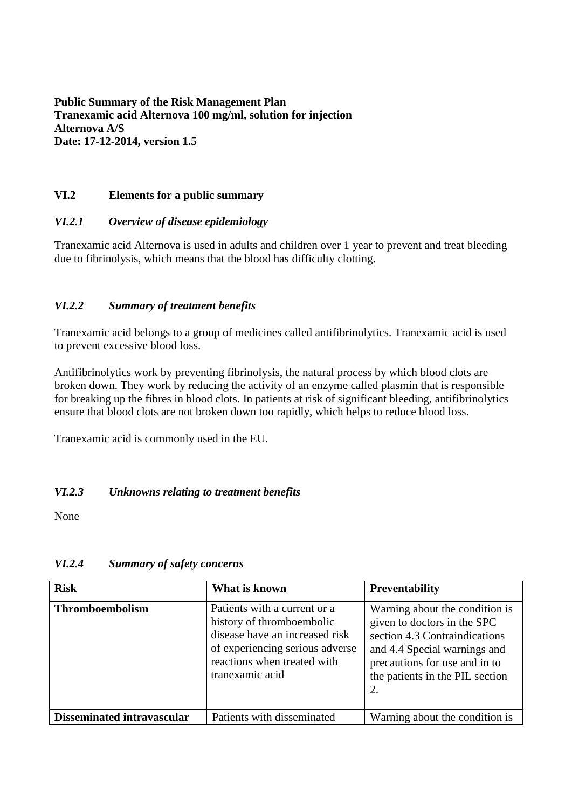**Public Summary of the Risk Management Plan Tranexamic acid Alternova 100 mg/ml, solution for injection Alternova A/S Date: 17-12-2014, version 1.5**

### **VI.2 Elements for a public summary**

### *VI.2.1 Overview of disease epidemiology*

Tranexamic acid Alternova is used in adults and children over 1 year to prevent and treat bleeding due to fibrinolysis, which means that the blood has difficulty clotting.

### *VI.2.2 Summary of treatment benefits*

Tranexamic acid belongs to a group of medicines called antifibrinolytics. Tranexamic acid is used to prevent excessive blood loss.

Antifibrinolytics work by preventing fibrinolysis, the natural process by which blood clots are broken down. They work by reducing the activity of an enzyme called plasmin that is responsible for breaking up the fibres in blood clots. In patients at risk of significant bleeding, antifibrinolytics ensure that blood clots are not broken down too rapidly, which helps to reduce blood loss.

Tranexamic acid is commonly used in the EU.

## *VI.2.3 Unknowns relating to treatment benefits*

None

| <b>Risk</b>                       | What is known                                                                                                                                                                    | <b>Preventability</b>                                                                                                                                                                                    |
|-----------------------------------|----------------------------------------------------------------------------------------------------------------------------------------------------------------------------------|----------------------------------------------------------------------------------------------------------------------------------------------------------------------------------------------------------|
| <b>Thromboembolism</b>            | Patients with a current or a<br>history of thromboembolic<br>disease have an increased risk<br>of experiencing serious adverse<br>reactions when treated with<br>tranexamic acid | Warning about the condition is<br>given to doctors in the SPC<br>section 4.3 Contraindications<br>and 4.4 Special warnings and<br>precautions for use and in to<br>the patients in the PIL section<br>2. |
| <b>Disseminated intravascular</b> | Patients with disseminated                                                                                                                                                       | Warning about the condition is                                                                                                                                                                           |

#### *VI.2.4 Summary of safety concerns*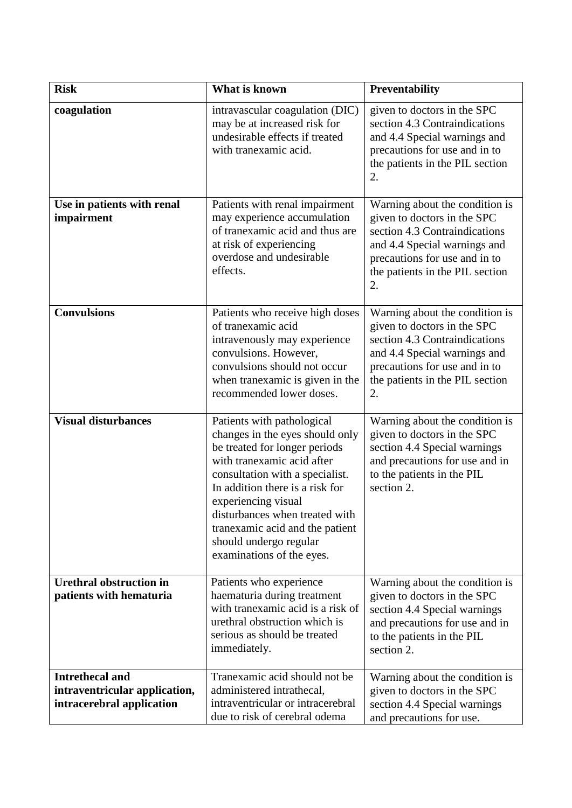| <b>Risk</b>                                                                          | What is known                                                                                                                                                                                                                                                                                                                                         | <b>Preventability</b>                                                                                                                                                                                    |
|--------------------------------------------------------------------------------------|-------------------------------------------------------------------------------------------------------------------------------------------------------------------------------------------------------------------------------------------------------------------------------------------------------------------------------------------------------|----------------------------------------------------------------------------------------------------------------------------------------------------------------------------------------------------------|
| coagulation                                                                          | intravascular coagulation (DIC)<br>may be at increased risk for<br>undesirable effects if treated<br>with tranexamic acid.                                                                                                                                                                                                                            | given to doctors in the SPC<br>section 4.3 Contraindications<br>and 4.4 Special warnings and<br>precautions for use and in to<br>the patients in the PIL section<br>2.                                   |
| Use in patients with renal<br>impairment                                             | Patients with renal impairment<br>may experience accumulation<br>of tranexamic acid and thus are<br>at risk of experiencing<br>overdose and undesirable<br>effects.                                                                                                                                                                                   | Warning about the condition is<br>given to doctors in the SPC<br>section 4.3 Contraindications<br>and 4.4 Special warnings and<br>precautions for use and in to<br>the patients in the PIL section<br>2. |
| <b>Convulsions</b>                                                                   | Patients who receive high doses<br>of tranexamic acid<br>intravenously may experience<br>convulsions. However,<br>convulsions should not occur<br>when tranexamic is given in the<br>recommended lower doses.                                                                                                                                         | Warning about the condition is<br>given to doctors in the SPC<br>section 4.3 Contraindications<br>and 4.4 Special warnings and<br>precautions for use and in to<br>the patients in the PIL section<br>2. |
| <b>Visual disturbances</b>                                                           | Patients with pathological<br>changes in the eyes should only<br>be treated for longer periods<br>with tranexamic acid after<br>consultation with a specialist.<br>In addition there is a risk for<br>experiencing visual<br>disturbances when treated with<br>tranexamic acid and the patient<br>should undergo regular<br>examinations of the eyes. | Warning about the condition is<br>given to doctors in the SPC<br>section 4.4 Special warnings<br>and precautions for use and in<br>to the patients in the PIL<br>section 2.                              |
| <b>Urethral obstruction in</b><br>patients with hematuria                            | Patients who experience<br>haematuria during treatment<br>with tranexamic acid is a risk of<br>urethral obstruction which is<br>serious as should be treated<br>immediately.                                                                                                                                                                          | Warning about the condition is<br>given to doctors in the SPC<br>section 4.4 Special warnings<br>and precautions for use and in<br>to the patients in the PIL<br>section 2.                              |
| <b>Intrethecal and</b><br>intraventricular application,<br>intracerebral application | Tranexamic acid should not be<br>administered intrathecal,<br>intraventricular or intracerebral<br>due to risk of cerebral odema                                                                                                                                                                                                                      | Warning about the condition is<br>given to doctors in the SPC<br>section 4.4 Special warnings<br>and precautions for use.                                                                                |